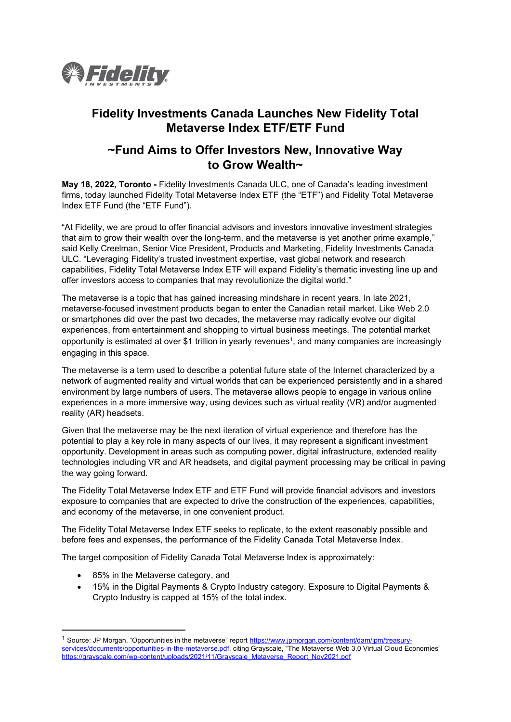

## **Fidelity Investments Canada Launches New Fidelity Total Metaverse Index ETF/ETF Fund**

## **~Fund Aims to Offer Investors New, Innovative Way to Grow Wealth~**

**May 18, 2022, Toronto -** Fidelity Investments Canada ULC, one of Canada's leading investment firms, today launched Fidelity Total Metaverse Index ETF (the "ETF") and Fidelity Total Metaverse Index ETF Fund (the "ETF Fund").

"At Fidelity, we are proud to offer financial advisors and investors innovative investment strategies that aim to grow their wealth over the long-term, and the metaverse is yet another prime example," said Kelly Creelman, Senior Vice President, Products and Marketing, Fidelity Investments Canada ULC. "Leveraging Fidelity's trusted investment expertise, vast global network and research capabilities, Fidelity Total Metaverse Index ETF will expand Fidelity's thematic investing line up and offer investors access to companies that may revolutionize the digital world."

The metaverse is a topic that has gained increasing mindshare in recent years. In late 2021, metaverse-focused investment products began to enter the Canadian retail market. Like Web 2.0 or smartphones did over the past two decades, the metaverse may radically evolve our digital experiences, from entertainment and shopping to virtual business meetings. The potential market opportunity is estimated at over \$1 trillion in yearly revenues<sup>1</sup>, and many companies are increasingly engaging in this space.

The metaverse is a term used to describe a potential future state of the Internet characterized by a network of augmented reality and virtual worlds that can be experienced persistently and in a shared environment by large numbers of users. The metaverse allows people to engage in various online experiences in a more immersive way, using devices such as virtual reality (VR) and/or augmented reality (AR) headsets.

Given that the metaverse may be the next iteration of virtual experience and therefore has the potential to play a key role in many aspects of our lives, it may represent a significant investment opportunity. Development in areas such as computing power, digital infrastructure, extended reality technologies including VR and AR headsets, and digital payment processing may be critical in paving the way going forward.

The Fidelity Total Metaverse Index ETF and ETF Fund will provide financial advisors and investors exposure to companies that are expected to drive the construction of the experiences, capabilities, and economy of the metaverse, in one convenient product.

The Fidelity Total Metaverse Index ETF seeks to replicate, to the extent reasonably possible and before fees and expenses, the performance of the Fidelity Canada Total Metaverse Index.

The target composition of Fidelity Canada Total Metaverse Index is approximately:

- 85% in the Metaverse category, and
- 15% in the Digital Payments & Crypto Industry category. Exposure to Digital Payments & Crypto Industry is capped at 15% of the total index.

<sup>&</sup>lt;sup>1</sup> Source: JP Morgan, "Opportunities in the metaverse" report [https://www.jpmorgan.com/content/dam/jpm/treasury](https://www.jpmorgan.com/content/dam/jpm/treasury-services/documents/opportunities-in-the-metaverse.pdf)[services/documents/opportunities-in-the-metaverse.pdf,](https://www.jpmorgan.com/content/dam/jpm/treasury-services/documents/opportunities-in-the-metaverse.pdf) citing Grayscale, "The Metaverse Web 3.0 Virtual Cloud Economies" [https://grayscale.com/wp-content/uploads/2021/11/Grayscale\\_Metaverse\\_Report\\_Nov2021.pdf](https://grayscale.com/wp-content/uploads/2021/11/Grayscale_Metaverse_Report_Nov2021.pdf)